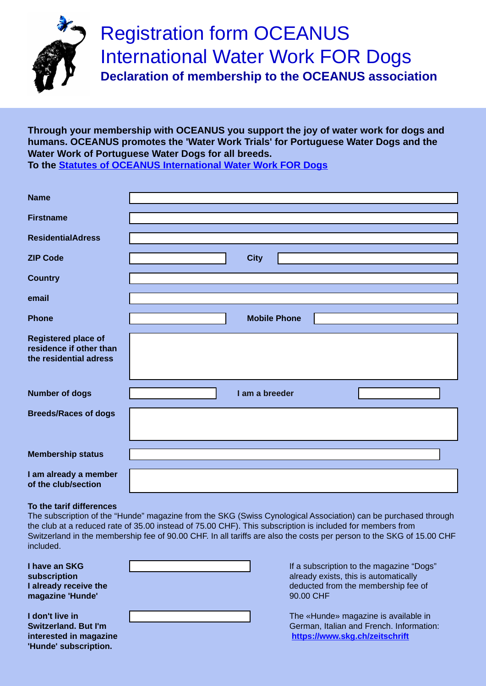

# Registration form OCEANUS International Water Work FOR Dogs

**Declaration of membership to the OCEANUS association**

**Through your membership with OCEANUS you support the joy of water work for dogs and humans. OCEANUS promotes the 'Water Work Trials' for Portuguese Water Dogs and the Water Work of Portuguese Water Dogs for all breeds.** 

**To the [Statutes of OCEANUS International Water Work FOR Dogs](https://hundeschule-ostschweiz.jimdofree.com/app/download/17336237125/__2018_04_29_Statuten_E_S.pdf?t=1532575723)**

| <b>Name</b>                                                                     |                     |                      |
|---------------------------------------------------------------------------------|---------------------|----------------------|
| <b>Firstname</b>                                                                |                     |                      |
| <b>ResidentialAdress</b>                                                        |                     |                      |
| <b>ZIP Code</b>                                                                 | <b>City</b>         |                      |
| <b>Country</b>                                                                  |                     |                      |
| email                                                                           |                     |                      |
| <b>Phone</b>                                                                    | <b>Mobile Phone</b> |                      |
| <b>Registered place of</b><br>residence if other than<br>the residential adress |                     |                      |
| <b>Number of dogs</b>                                                           | I am a breeder      | $\blacktriangledown$ |
| <b>Breeds/Races of dogs</b>                                                     |                     |                      |
| <b>Membership status</b>                                                        |                     | $\vert \vert$        |
| I am already a member<br>of the club/section                                    |                     |                      |

## **To the tarif differences**

The subscription of the "Hunde" magazine from the SKG (Swiss Cynological Association) can be purchased through the club at a reduced rate of 35.00 instead of 75.00 CHF). This subscription is included for members from Switzerland in the membership fee of 90.00 CHF. In all tariffs are also the costs per person to the SKG of 15.00 CHF included.

**I have an SKG subscription I already receive the magazine 'Hunde'**

**I don't live in Switzerland. But I'm interested in magazine 'Hunde' subscription.**

|  | $\overline{\mathbf{r}}$ |
|--|-------------------------|
|  |                         |
|  | $\blacktriangleright$   |

If a subscription to the magazine "Dogs" already exists, this is automatically deducted from the membership fee of 90.00 CHF

The «Hunde» magazine is available in German, Italian and French. Information: **<https://www.skg.ch/zeitschrift>**